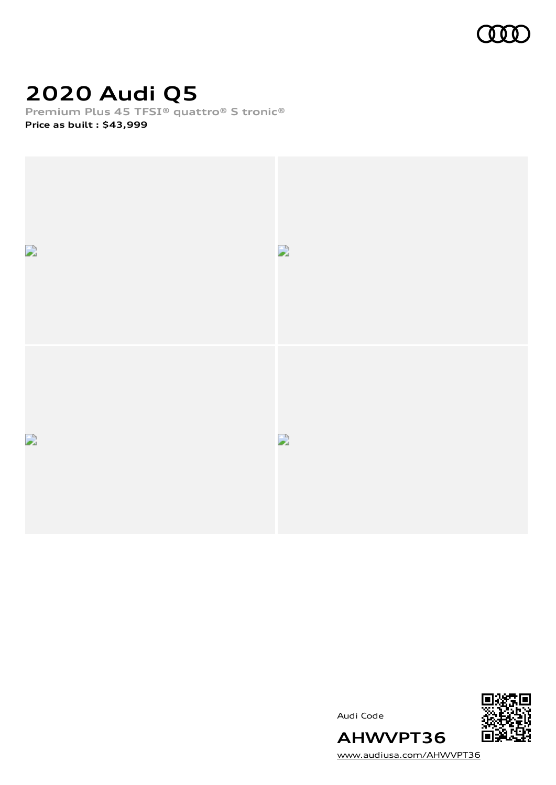

# **2020 Audi Q5**

**Premium Plus 45 TFSI® quattro® S tronic® Price as built [:](#page-8-0) \$43,999**



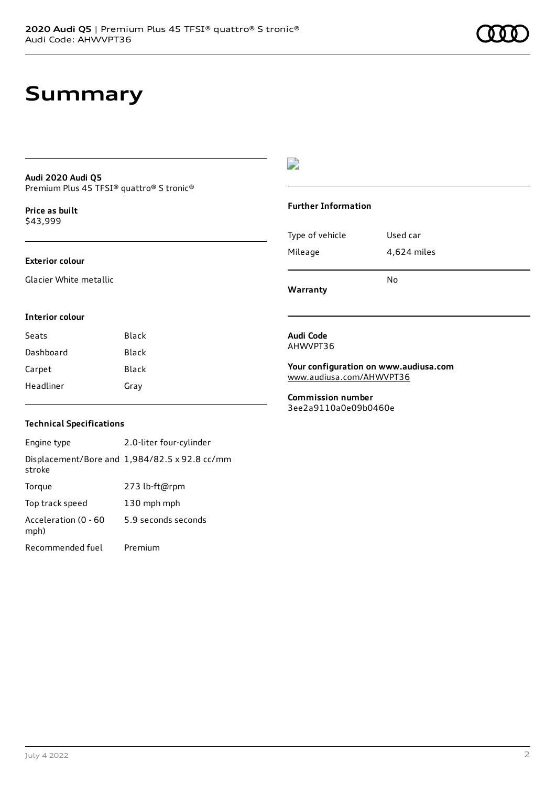#### **Audi 2020 Audi Q5** Premium Plus 45 TFSI® quattro® S tronic®

**Price as buil[t](#page-8-0)** \$43,999

#### **Exterior colour**

Glacier White metallic

#### D

#### **Further Information**

|                 | N٥          |
|-----------------|-------------|
| Mileage         | 4,624 miles |
| Type of vehicle | Used car    |

**Warranty**

#### **Interior colour**

| Seats     | Black |
|-----------|-------|
| Dashboard | Black |
| Carpet    | Black |
| Headliner | Gray  |

#### **Audi Code** AHWVPT36

**Your configuration on www.audiusa.com** [www.audiusa.com/AHWVPT36](https://www.audiusa.com/AHWVPT36)

**Commission number** 3ee2a9110a0e09b0460e

#### **Technical Specifications**

Engine type 2.0-liter four-cylinder Displacement/Bore and 1,984/82.5 x 92.8 cc/mm stroke Torque 273 lb-ft@rpm Top track speed 130 mph mph Acceleration (0 - 60 mph) 5.9 seconds seconds Recommended fuel Premium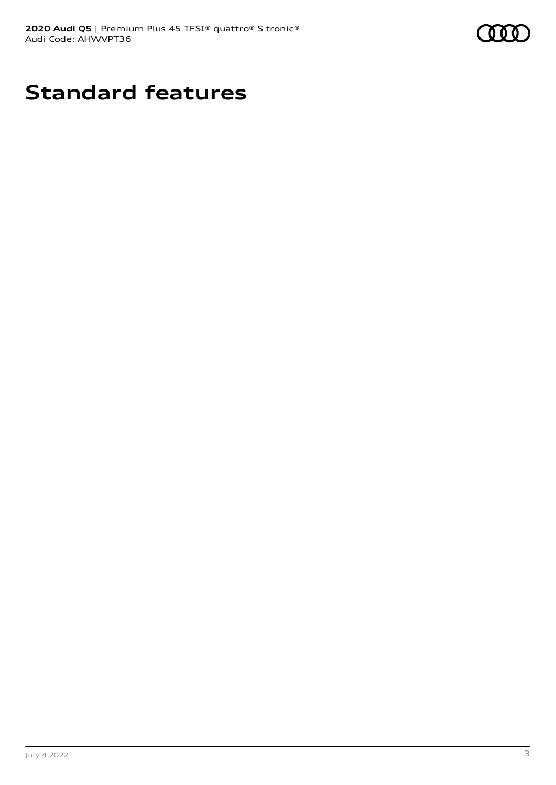

# **Standard features**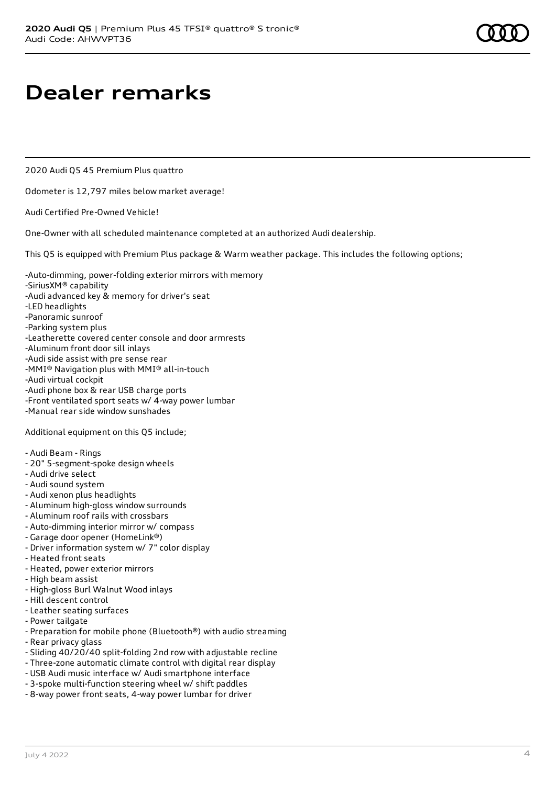### **Dealer remarks**

2020 Audi Q5 45 Premium Plus quattro

Odometer is 12,797 miles below market average!

Audi Certified Pre-Owned Vehicle!

One-Owner with all scheduled maintenance completed at an authorized Audi dealership.

This Q5 is equipped with Premium Plus package & Warm weather package. This includes the following options;

- -Auto-dimming, power-folding exterior mirrors with memory
- -SiriusXM® capability
- -Audi advanced key & memory for driver's seat
- -LED headlights
- -Panoramic sunroof
- -Parking system plus
- -Leatherette covered center console and door armrests
- -Aluminum front door sill inlays
- -Audi side assist with pre sense rear
- -MMI® Navigation plus with MMI® all-in-touch
- -Audi virtual cockpit
- -Audi phone box & rear USB charge ports
- -Front ventilated sport seats w/ 4-way power lumbar
- -Manual rear side window sunshades

Additional equipment on this Q5 include;

- Audi Beam Rings
- 20" 5-segment-spoke design wheels
- Audi drive select
- Audi sound system
- Audi xenon plus headlights
- Aluminum high-gloss window surrounds
- Aluminum roof rails with crossbars
- Auto-dimming interior mirror w/ compass
- Garage door opener (HomeLink®)
- Driver information system w/ 7" color display
- Heated front seats
- Heated, power exterior mirrors
- High beam assist
- High-gloss Burl Walnut Wood inlays
- Hill descent control
- Leather seating surfaces
- Power tailgate
- Preparation for mobile phone (Bluetooth®) with audio streaming
- Rear privacy glass
- Sliding 40/20/40 split-folding 2nd row with adjustable recline
- Three-zone automatic climate control with digital rear display
- USB Audi music interface w/ Audi smartphone interface
- 3-spoke multi-function steering wheel w/ shift paddles
- 8-way power front seats, 4-way power lumbar for driver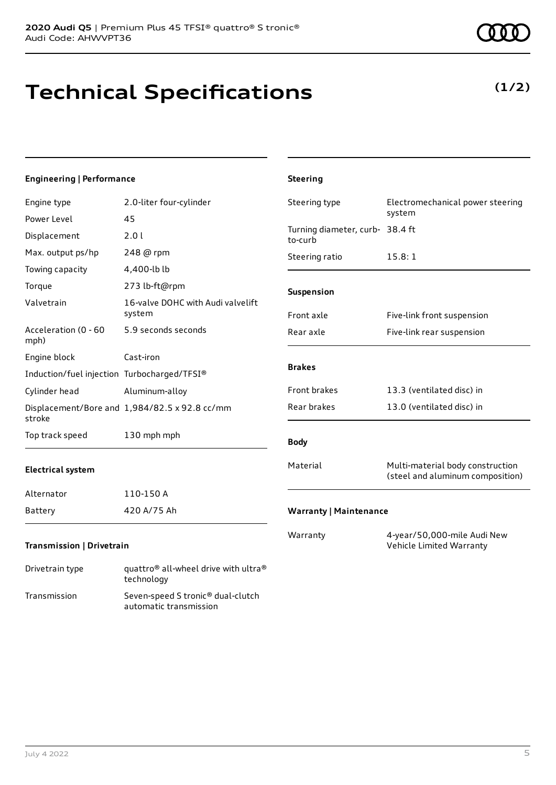## **Technical Specifications**

technology Transmission Seven-speed S tronic® dual-clutch

automatic transmission

### **Engineering | Performance**

| Engine type                                 | 2.0-liter four-cylinder                                      | Steering type                              | Electromechanical power steering                                     |
|---------------------------------------------|--------------------------------------------------------------|--------------------------------------------|----------------------------------------------------------------------|
| Power Level                                 | 45                                                           |                                            | system                                                               |
| Displacement                                | 2.0 l                                                        | Turning diameter, curb- 38.4 ft<br>to-curb |                                                                      |
| Max. output ps/hp                           | 248 @ rpm                                                    | Steering ratio                             | 15.8:1                                                               |
| Towing capacity                             | 4,400-lb lb                                                  |                                            |                                                                      |
| Torque                                      | 273 lb-ft@rpm                                                | Suspension                                 |                                                                      |
| Valvetrain                                  | 16-valve DOHC with Audi valvelift<br>system                  | Front axle                                 | Five-link front suspension                                           |
| Acceleration (0 - 60<br>mph)                | 5.9 seconds seconds                                          | Rear axle                                  | Five-link rear suspension                                            |
| Engine block                                | Cast-iron                                                    |                                            |                                                                      |
| Induction/fuel injection Turbocharged/TFSI® |                                                              | <b>Brakes</b>                              |                                                                      |
| Cylinder head                               | Aluminum-alloy                                               | Front brakes                               | 13.3 (ventilated disc) in                                            |
| stroke                                      | Displacement/Bore and 1,984/82.5 x 92.8 cc/mm                | Rear brakes                                | 13.0 (ventilated disc) in                                            |
| Top track speed                             | 130 mph mph                                                  | <b>Body</b>                                |                                                                      |
| <b>Electrical system</b>                    |                                                              | Material                                   | Multi-material body construction<br>(steel and aluminum composition) |
| Alternator                                  | 110-150 A                                                    |                                            |                                                                      |
| <b>Battery</b>                              | 420 A/75 Ah                                                  | <b>Warranty   Maintenance</b>              |                                                                      |
| <b>Transmission   Drivetrain</b>            |                                                              | Warranty                                   | 4-year/50,000-mile Audi New<br>Vehicle Limited Warranty              |
| Drivetrain type                             | quattro <sup>®</sup> all-wheel drive with ultra <sup>®</sup> |                                            |                                                                      |

**Steering**

### **(1/2)**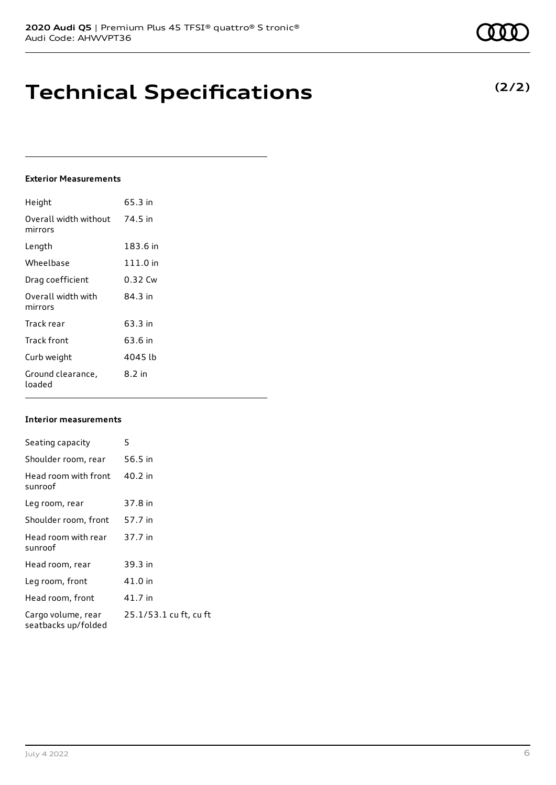## **Technical Specifications**

### **Exterior Measurements**

| Height                           | 65.3 in  |
|----------------------------------|----------|
| Overall width without<br>mirrors | 74.5 in  |
| Length                           | 183.6 in |
| Wheelbase                        | 111.0 in |
| Drag coefficient                 | 0.32 Cw  |
| Overall width with<br>mirrors    | 84.3 in  |
| Track rear                       | 63.3 in  |
| Track front                      | 63.6 in  |
| Curb weight                      | 4045 lb  |
| Ground clearance,<br>loaded      | $8.2$ in |

#### **Interior measurements**

| Seating capacity                          | 5                      |
|-------------------------------------------|------------------------|
| Shoulder room, rear                       | 56.5 in                |
| Head room with front<br>sunroof           | 40.2 in                |
| Leg room, rear                            | 37.8 in                |
| Shoulder room, front                      | 57.7 in                |
| Head room with rear<br>sunroof            | 37.7 in                |
| Head room, rear                           | 39.3 in                |
| Leg room, front                           | 41.0 in                |
| Head room, front                          | 41.7 in                |
| Cargo volume, rear<br>seatbacks up/folded | 25.1/53.1 cu ft, cu ft |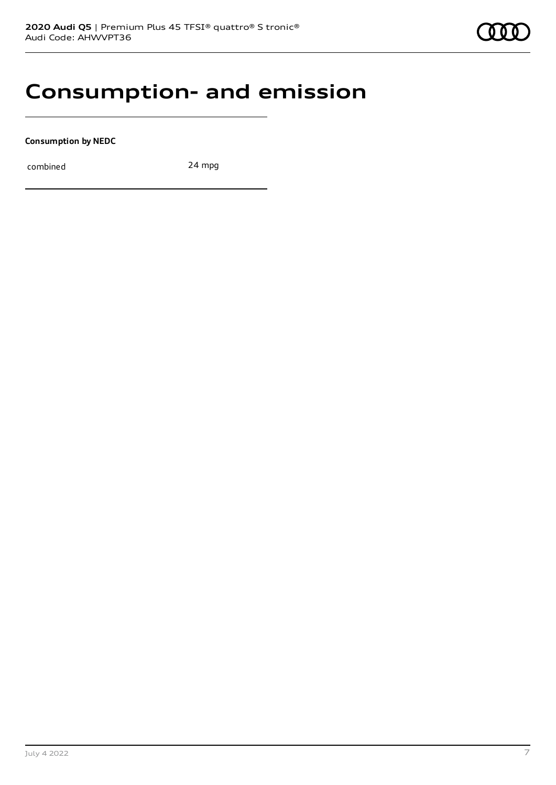### **Consumption- and emission**

**Consumption by NEDC**

combined 24 mpg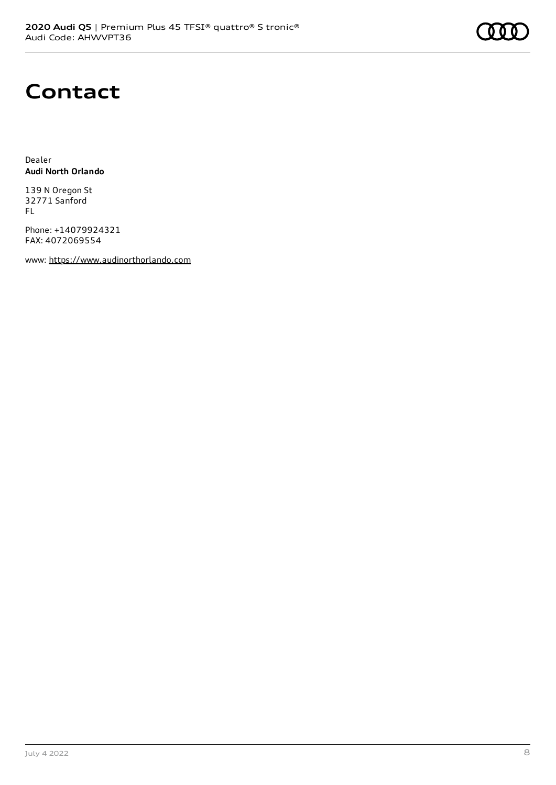### **Contact**

Dealer **Audi North Orlando**

139 N Oregon St 32771 Sanford FL

Phone: +14079924321 FAX: 4072069554

www: [https://www.audinorthorlando.com](https://www.audinorthorlando.com/)